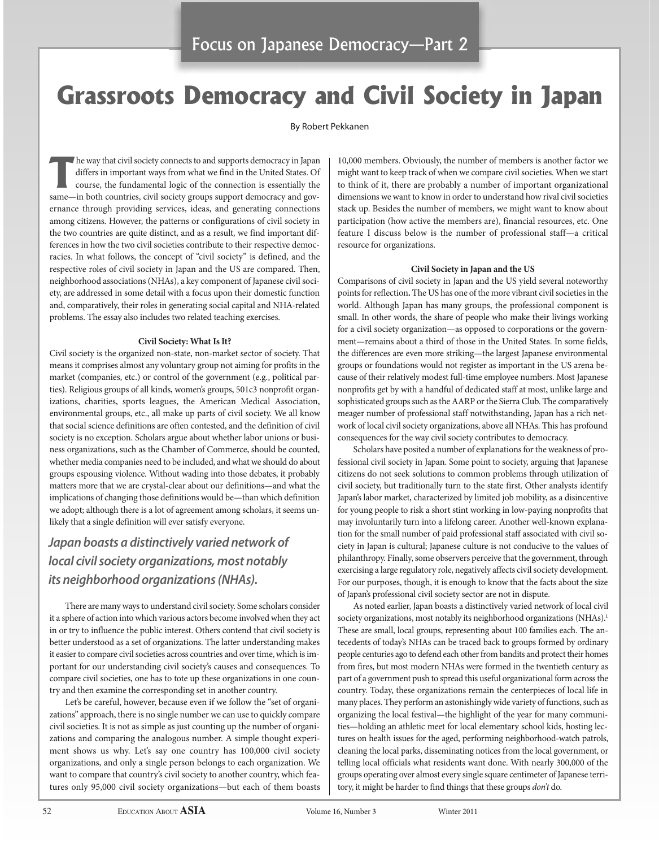# **Grassroots Democracy and Civil Society in Japan**

# By Robert Pekkanen

**The way that civil society connects to and supports democracy in Japan differs in important ways from what we find in the United States. Of course, the fundamental logic of the connection is essentially the in held connec** differs in important ways from what we find in the United States. Of same—in both countries, civil society groups support democracy and governance through providing services, ideas, and generating connections among citizens. However, the patterns or configurations of civil society in the two countries are quite distinct, and as a result, we find important differences in how the two civil societies contribute to their respective democracies. In what follows, the concept of "civil society" is defined, and the respective roles of civil society in Japan and the US are compared. Then, neighborhood associations (NHAs), a key component of Japanese civil society, are addressed in some detail with a focus upon their domestic function and, comparatively, their roles in generating social capital and NHA-related problems. The essay also includes two related teaching exercises.

# **Civil Society: What is it?**

Civil society is the organized non-state, non-market sector of society. That means it comprises almost any voluntary group not aiming for profits in the market (companies, etc.) or control of the government (e.g., political parties). Religious groups of all kinds, women's groups, 501c3 nonprofit organizations, charities, sports leagues, the American Medical Association, environmental groups, etc., all make up parts of civil society. We all know that social science definitions are often contested, and the definition of civil society is no exception. Scholars argue about whether labor unions or business organizations, such as the Chamber of Commerce, should be counted, whether media companies need to be included, and what we should do about groups espousing violence. Without wading into those debates, it probably matters more that we are crystal-clear about our definitions—and what the implications of changing those definitions would be—than which definition we adopt; although there is a lot of agreement among scholars, it seems unlikely that a single definition will ever satisfy everyone.

# *Japan boasts a distinctively varied network of local civil society organizations, most notably its neighborhood organizations (NHAs).*

There are many ways to understand civil society. Some scholars consider it a sphere of action into which various actors become involved when they act in or try to influence the public interest. Others contend that civil society is better understood as a set of organizations. The latter understanding makes it easier to compare civil societies across countries and over time, which is important for our understanding civil society's causes and consequences. To compare civil societies, one has to tote up these organizations in one country and then examine the corresponding set in another country.

Let's be careful, however, because even if we follow the "set of organizations" approach, there is no single number we can use to quickly compare civil societies. It is not as simple as just counting up the number of organizations and comparing the analogous number. A simple thought experiment shows us why. Let's say one country has 100,000 civil society organizations, and only a single person belongs to each organization. We want to compare that country's civil society to another country, which features only 95,000 civil society organizations—but each of them boasts

10,000 members. Obviously, the number of members is another factor we might want to keep track of when we compare civil societies. When we start to think of it, there are probably a number of important organizational dimensions we want to know in order to understand how rival civil societies stack up. Besides the number of members, we might want to know about participation (how active the members are), financial resources, etc. One feature I discuss below is the number of professional staff—a critical resource for organizations.

## **Civil Society in Japan and the uS**

Comparisons of civil society in Japan and the US yield several noteworthy points for reflection**.** The US has one of the more vibrant civil societies in the world. Although Japan has many groups, the professional component is small. In other words, the share of people who make their livings working for a civil society organization—as opposed to corporations or the government—remains about a third of those in the United States. In some fields, the differences are even more striking—the largest Japanese environmental groups or foundations would not register as important in the US arena because of their relatively modest full-time employee numbers. Most Japanese nonprofits get by with a handful of dedicated staff at most, unlike large and sophisticated groups such as the AARP or the Sierra Club. The comparatively meager number of professional staff notwithstanding, Japan has a rich network of local civil society organizations, above all NHAs. This has profound consequences for the way civil society contributes to democracy.

Scholars have posited a number of explanations for the weakness of professional civil society in Japan. Some point to society, arguing that Japanese citizens do not seek solutions to common problems through utilization of civil society, but traditionally turn to the state first. Other analysts identify Japan's labor market, characterized by limited job mobility, as a disincentive for young people to risk a short stint working in low-paying nonprofits that may involuntarily turn into a lifelong career. Another well-known explanation for the small number of paid professional staff associated with civil society in Japan is cultural; Japanese culture is not conducive to the values of philanthropy. Finally, some observers perceive that the government, through exercising a large regulatory role, negatively affects civil society development. For our purposes, though, it is enough to know that the facts about the size of Japan's professional civil society sector are not in dispute.

As noted earlier, Japan boasts a distinctively varied network of local civil society organizations, most notably its neighborhood organizations (NHAs).<sup>1</sup> These are small, local groups, representing about 100 families each. The antecedents of today's NHAs can be traced back to groups formed by ordinary people centuries ago to defend each other from bandits and protect their homes from fires, but most modern NHAs were formed in the twentieth century as part of a government push to spread this useful organizational form across the country. Today, these organizations remain the centerpieces of local life in many places. They perform an astonishingly wide variety of functions, such as organizing the local festival—the highlight of the year for many communities—holding an athletic meet for local elementary school kids, hosting lectures on health issues for the aged, performing neighborhood-watch patrols, cleaning the local parks, disseminating notices from the local government, or telling local officials what residents want done. With nearly 300,000 of the groups operating over almost every single square centimeter of Japanese territory, it might be harder to find things that these groups don't do.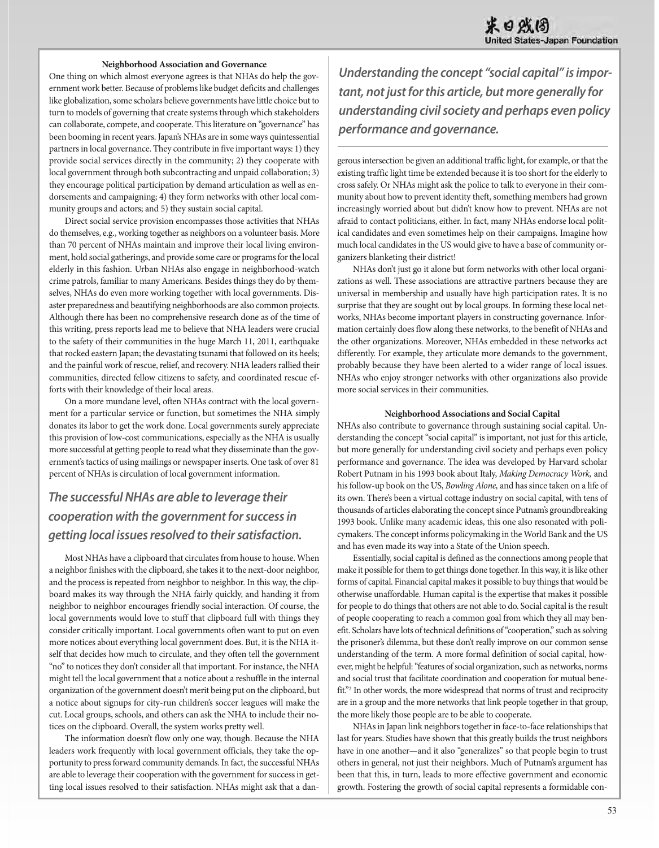#### **Neighborhood association and governance**

One thing on which almost everyone agrees is that NHAs do help the government work better. Because of problems like budget deficits and challenges like globalization, some scholars believe governments have little choice but to turn to models of governing that create systems through which stakeholders can collaborate, compete, and cooperate. This literature on "governance" has been booming in recent years. Japan's NHAs are in some ways quintessential partners in local governance. They contribute in five important ways: 1) they provide social services directly in the community; 2) they cooperate with local government through both subcontracting and unpaid collaboration; 3) they encourage political participation by demand articulation as well as endorsements and campaigning; 4) they form networks with other local community groups and actors; and 5) they sustain social capital.

Direct social service provision encompasses those activities that NHAs do themselves, e.g., working together as neighbors on a volunteer basis. More than 70 percent of NHAs maintain and improve their local living environment, hold social gatherings, and provide some care or programs for the local elderly in this fashion. Urban NHAs also engage in neighborhood-watch crime patrols, familiar to many Americans. Besides things they do by themselves, NHAs do even more working together with local governments. Disaster preparedness and beautifying neighborhoods are also common projects. Although there has been no comprehensive research done as of the time of this writing, press reports lead me to believe that NHA leaders were crucial to the safety of their communities in the huge March 11, 2011, earthquake that rocked eastern Japan; the devastating tsunami that followed on its heels; and the painful work of rescue, relief, and recovery. NHA leaders rallied their communities, directed fellow citizens to safety, and coordinated rescue efforts with their knowledge of their local areas.

On a more mundane level, often NHAs contract with the local government for a particular service or function, but sometimes the NHA simply donates its labor to get the work done. Local governments surely appreciate this provision of low-cost communications, especially as the NHA is usually more successful at getting people to read what they disseminate than the government's tactics of using mailings or newspaper inserts. One task of over 81 percent of NHAs is circulation of local government information.

# *The successful NHAs are able to leverage their cooperation with the government for success in getting local issues resolved to their satisfaction.*

Most NHAs have a clipboard that circulates from house to house. When a neighbor finishes with the clipboard, she takes it to the next-door neighbor, and the process is repeated from neighbor to neighbor. In this way, the clipboard makes its way through the NHA fairly quickly, and handing it from neighbor to neighbor encourages friendly social interaction. Of course, the local governments would love to stuff that clipboard full with things they consider critically important. Local governments often want to put on even more notices about everything local government does. But, it is the NHA itself that decides how much to circulate, and they often tell the government "no" to notices they don't consider all that important. For instance, the NHA might tell the local government that a notice about a reshuffle in the internal organization of the government doesn't merit being put on the clipboard, but a notice about signups for city-run children's soccer leagues will make the cut. Local groups, schools, and others can ask the NHA to include their notices on the clipboard. Overall, the system works pretty well.

The information doesn't flow only one way, though. Because the NHA leaders work frequently with local government officials, they take the opportunity to press forward community demands. In fact, the successful NHAs are able to leverage their cooperation with the government for success in getting local issues resolved to their satisfaction. NHAs might ask that a dan-

*Understanding the concept "social capital" is important, not just for this article, but more generally for understanding civil society and perhaps even policy performance and governance.*

gerous intersection be given an additional traffic light, for example, or that the existing traffic light time be extended because it is too short for the elderly to cross safely. Or NHAs might ask the police to talk to everyone in their community about how to prevent identity theft, something members had grown increasingly worried about but didn't know how to prevent. NHAs are not afraid to contact politicians, either. In fact, many NHAs endorse local political candidates and even sometimes help on their campaigns. Imagine how much local candidates in the US would give to have a base of community organizers blanketing their district!

NHAs don't just go it alone but form networks with other local organizations as well. These associations are attractive partners because they are universal in membership and usually have high participation rates. It is no surprise that they are sought out by local groups. In forming these local networks, NHAs become important players in constructing governance. Information certainly does flow along these networks, to the benefit of NHAs and the other organizations. Moreover, NHAs embedded in these networks act differently. For example, they articulate more demands to the government, probably because they have been alerted to a wider range of local issues. NHAs who enjoy stronger networks with other organizations also provide more social services in their communities.

#### **Neighborhood associations and Social Capital**

NHAs also contribute to governance through sustaining social capital. Understanding the concept "social capital" is important, not just for this article, but more generally for understanding civil society and perhaps even policy performance and governance. The idea was developed by Harvard scholar Robert Putnam in his 1993 book about Italy, Making Democracy Work, and his follow-up book on the US, Bowling Alone, and has since taken on a life of its own. There's been a virtual cottage industry on social capital, with tens of thousands of articles elaborating the concept since Putnam's groundbreaking 1993 book. Unlike many academic ideas, this one also resonated with policymakers. The concept informs policymaking in the World Bank and the US and has even made its way into a State of the Union speech.

Essentially, social capital is defined as the connections among people that make it possible for them to get things done together. In this way, it is like other forms of capital. Financial capital makes it possible to buy things that would be otherwise unaffordable. Human capital is the expertise that makes it possible for people to do things that others are not able to do. Social capital is the result of people cooperating to reach a common goal from which they all may benefit. Scholars have lots of technical definitions of "cooperation," such as solving the prisoner's dilemma, but these don't really improve on our common sense understanding of the term. A more formal definition of social capital, however, might be helpful: "features of social organization, such as networks, norms and social trust that facilitate coordination and cooperation for mutual benefit."2 In other words, the more widespread that norms of trust and reciprocity are in a group and the more networks that link people together in that group, the more likely those people are to be able to cooperate.

NHAs in Japan link neighbors together in face-to-face relationships that last for years. Studies have shown that this greatly builds the trust neighbors have in one another—and it also "generalizes" so that people begin to trust others in general, not just their neighbors. Much of Putnam's argument has been that this, in turn, leads to more effective government and economic growth. Fostering the growth of social capital represents a formidable con-